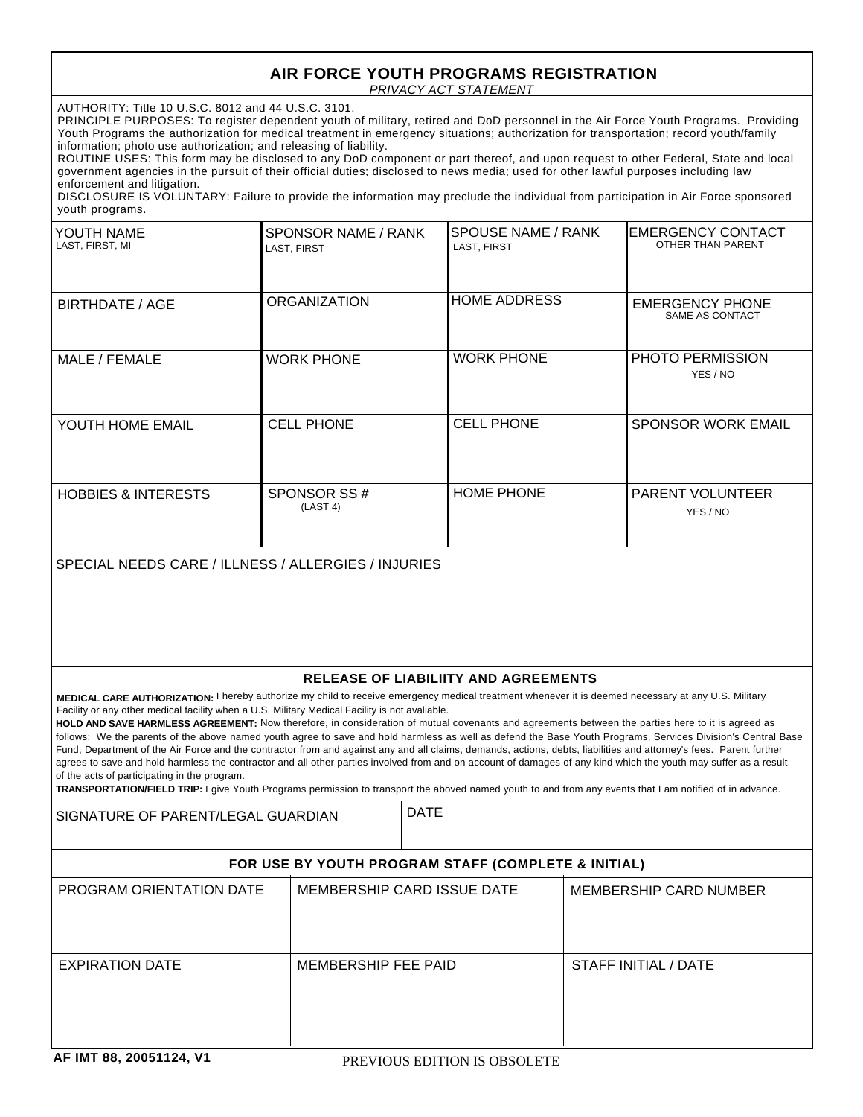## *PRIVACY ACT STATEMENT* **AIR FORCE YOUTH PROGRAMS REGISTRATION**

AUTHORITY: Title 10 U.S.C. 8012 and 44 U.S.C. 3101.

PRINCIPLE PURPOSES: To register dependent youth of military, retired and DoD personnel in the Air Force Youth Programs. Providing Youth Programs the authorization for medical treatment in emergency situations; authorization for transportation; record youth/family information; photo use authorization; and releasing of liability.

ROUTINE USES: This form may be disclosed to any DoD component or part thereof, and upon request to other Federal, State and local government agencies in the pursuit of their official duties; disclosed to news media; used for other lawful purposes including law enforcement and litigation.

DISCLOSURE IS VOLUNTARY: Failure to provide the information may preclude the individual from participation in Air Force sponsored youth programs.

| YOUTH NAME<br>LAST, FIRST, MI  | SPONSOR NAME / RANK<br>LAST, FIRST | <b>SPOUSE NAME / RANK</b><br>LAST, FIRST | <b>IEMERGENCY CONTACT</b><br>OTHER THAN PARENT |
|--------------------------------|------------------------------------|------------------------------------------|------------------------------------------------|
| BIRTHDATE / AGE                | <b>ORGANIZATION</b>                | <b>HOME ADDRESS</b>                      | <b>EMERGENCY PHONE</b><br>SAME AS CONTACT      |
| MALE / FEMALE                  | <b>WORK PHONE</b>                  | <b>WORK PHONE</b>                        | <b>PHOTO PERMISSION</b><br>YES / NO            |
| YOUTH HOME EMAIL               | <b>CELL PHONE</b>                  | <b>CELL PHONE</b>                        | <b>SPONSOR WORK EMAIL</b>                      |
| <b>HOBBIES &amp; INTERESTS</b> | SPONSOR SS#<br>(LAST 4)            | <b>HOME PHONE</b>                        | <b>PARENT VOLUNTEER</b><br>YES / NO            |

SPECIAL NEEDS CARE / ILLNESS / ALLERGIES / INJURIES

## **RELEASE OF LIABILIITY AND AGREEMENTS**

**MEDICAL CARE AUTHORIZATION:** I hereby authorize my child to receive emergency medical treatment whenever it is deemed necessary at any U.S. Military Facility or any other medical facility when a U.S. Military Medical Facility is not avaliable.

HOLD AND SAVE HARMLESS AGREEMENT: Now therefore, in consideration of mutual covenants and agreements between the parties here to it is agreed as follows: We the parents of the above named youth agree to save and hold harmless as well as defend the Base Youth Programs, Services Division's Central Base Fund, Department of the Air Force and the contractor from and against any and all claims, demands, actions, debts, liabilities and attorney's fees. Parent further agrees to save and hold harmless the contractor and all other parties involved from and on account of damages of any kind which the youth may suffer as a result of the acts of participating in the program.

**TRANSPORTATION/FIELD TRIP:** I give Youth Programs permission to transport the aboved named youth to and from any events that I am notified of in advance.

SIGNATURE OF PARENT/LEGAL GUARDIAN PATE

## **FOR USE BY YOUTH PROGRAM STAFF (COMPLETE & INITIAL)**

| PROGRAM ORIENTATION DATE | MEMBERSHIP CARD ISSUE DATE | MEMBERSHIP CARD NUMBER |
|--------------------------|----------------------------|------------------------|
| EXPIRATION DATE          | MEMBERSHIP FEE PAID        | STAFF INITIAL / DATE   |